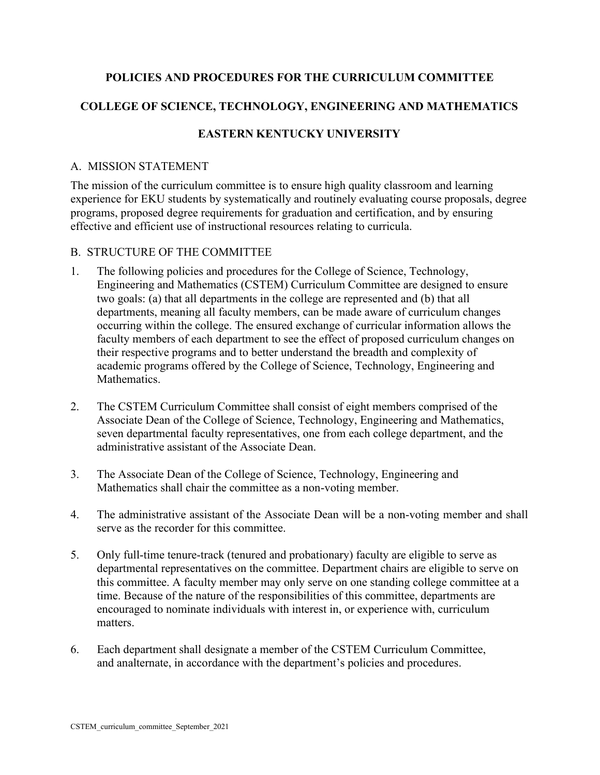## **POLICIES AND PROCEDURES FOR THE CURRICULUM COMMITTEE**

# **COLLEGE OF SCIENCE, TECHNOLOGY, ENGINEERING AND MATHEMATICS**

## **EASTERN KENTUCKY UNIVERSITY**

### A. MISSION STATEMENT

The mission of the curriculum committee is to ensure high quality classroom and learning experience for EKU students by systematically and routinely evaluating course proposals, degree programs, proposed degree requirements for graduation and certification, and by ensuring effective and efficient use of instructional resources relating to curricula.

## B. STRUCTURE OF THE COMMITTEE

- 1. The following policies and procedures for the College of Science, Technology, Engineering and Mathematics (CSTEM) Curriculum Committee are designed to ensure two goals: (a) that all departments in the college are represented and (b) that all departments, meaning all faculty members, can be made aware of curriculum changes occurring within the college. The ensured exchange of curricular information allows the faculty members of each department to see the effect of proposed curriculum changes on their respective programs and to better understand the breadth and complexity of academic programs offered by the College of Science, Technology, Engineering and Mathematics.
- 2. The CSTEM Curriculum Committee shall consist of eight members comprised of the Associate Dean of the College of Science, Technology, Engineering and Mathematics, seven departmental faculty representatives, one from each college department, and the administrative assistant of the Associate Dean.
- 3. The Associate Dean of the College of Science, Technology, Engineering and Mathematics shall chair the committee as a non-voting member.
- 4. The administrative assistant of the Associate Dean will be a non-voting member and shall serve as the recorder for this committee.
- 5. Only full-time tenure-track (tenured and probationary) faculty are eligible to serve as departmental representatives on the committee. Department chairs are eligible to serve on this committee. A faculty member may only serve on one standing college committee at a time. Because of the nature of the responsibilities of this committee, departments are encouraged to nominate individuals with interest in, or experience with, curriculum matters.
- 6. Each department shall designate a member of the CSTEM Curriculum Committee, and analternate, in accordance with the department's policies and procedures.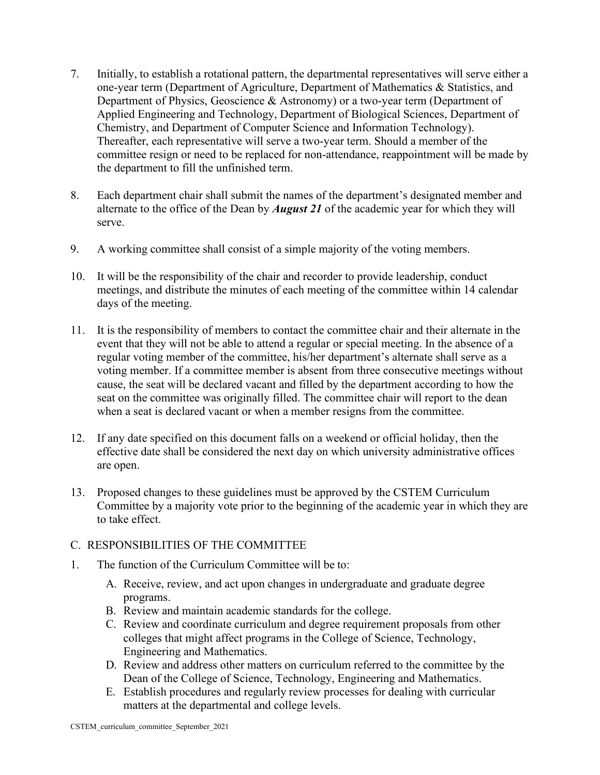- 7. Initially, to establish a rotational pattern, the departmental representatives will serve either a one-year term (Department of Agriculture, Department of Mathematics & Statistics, and Department of Physics, Geoscience & Astronomy) or a two-year term (Department of Applied Engineering and Technology, Department of Biological Sciences, Department of Chemistry, and Department of Computer Science and Information Technology). Thereafter, each representative will serve a two-year term. Should a member of the committee resign or need to be replaced for non-attendance, reappointment will be made by the department to fill the unfinished term.
- 8. Each department chair shall submit the names of the department's designated member and alternate to the office of the Dean by *August 21* of the academic year for which they will serve.
- 9. A working committee shall consist of a simple majority of the voting members.
- 10. It will be the responsibility of the chair and recorder to provide leadership, conduct meetings, and distribute the minutes of each meeting of the committee within 14 calendar days of the meeting.
- 11. It is the responsibility of members to contact the committee chair and their alternate in the event that they will not be able to attend a regular or special meeting. In the absence of a regular voting member of the committee, his/her department's alternate shall serve as a voting member. If a committee member is absent from three consecutive meetings without cause, the seat will be declared vacant and filled by the department according to how the seat on the committee was originally filled. The committee chair will report to the dean when a seat is declared vacant or when a member resigns from the committee.
- 12. If any date specified on this document falls on a weekend or official holiday, then the effective date shall be considered the next day on which university administrative offices are open.
- 13. Proposed changes to these guidelines must be approved by the CSTEM Curriculum Committee by a majority vote prior to the beginning of the academic year in which they are to take effect.

#### C. RESPONSIBILITIES OF THE COMMITTEE

- 1. The function of the Curriculum Committee will be to:
	- A. Receive, review, and act upon changes in undergraduate and graduate degree programs.
	- B. Review and maintain academic standards for the college.
	- C. Review and coordinate curriculum and degree requirement proposals from other colleges that might affect programs in the College of Science, Technology, Engineering and Mathematics.
	- D. Review and address other matters on curriculum referred to the committee by the Dean of the College of Science, Technology, Engineering and Mathematics.
	- E. Establish procedures and regularly review processes for dealing with curricular matters at the departmental and college levels.